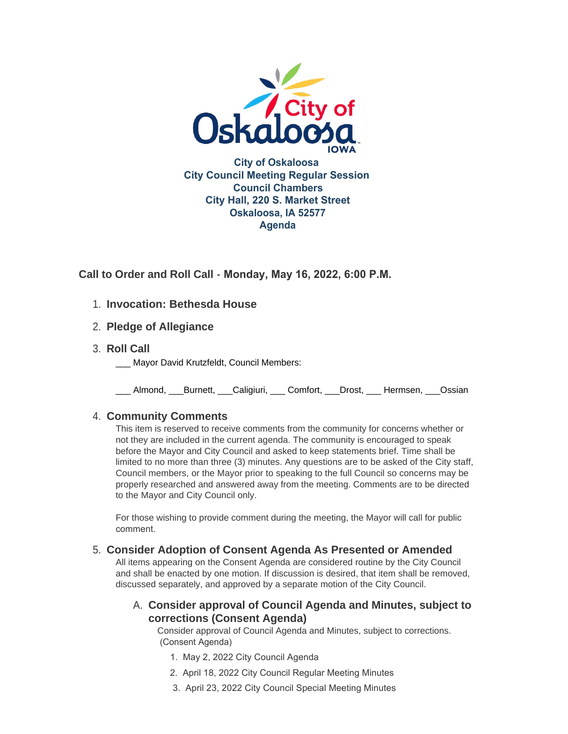

**Call to Order and Roll Call - Monday, May 16, 2022, 6:00 P.M.** 

# **Invocation: Bethesda House** 1.

- **Pledge of Allegiance** 2.
- **Roll Call** 3.
	- Mayor David Krutzfeldt, Council Members:

\_\_\_ Almond, \_\_\_Burnett, \_\_\_Caligiuri, \_\_\_ Comfort, \_\_\_Drost, \_\_\_ Hermsen, \_\_\_Ossian

# **Community Comments** 4.

This item is reserved to receive comments from the community for concerns whether or not they are included in the current agenda. The community is encouraged to speak before the Mayor and City Council and asked to keep statements brief. Time shall be limited to no more than three (3) minutes. Any questions are to be asked of the City staff, Council members, or the Mayor prior to speaking to the full Council so concerns may be properly researched and answered away from the meeting. Comments are to be directed to the Mayor and City Council only.

For those wishing to provide comment during the meeting, the Mayor will call for public comment.

# **Consider Adoption of Consent Agenda As Presented or Amended** 5.

All items appearing on the Consent Agenda are considered routine by the City Council and shall be enacted by one motion. If discussion is desired, that item shall be removed, discussed separately, and approved by a separate motion of the City Council.

# **Consider approval of Council Agenda and Minutes, subject to**  A. **corrections (Consent Agenda)**

Consider approval of Council Agenda and Minutes, subject to corrections. (Consent Agenda)

- 1. May 2, 2022 City Council Agenda
- 2. April 18, 2022 City Council Regular Meeting Minutes
- 3. April 23, 2022 City Council Special Meeting Minutes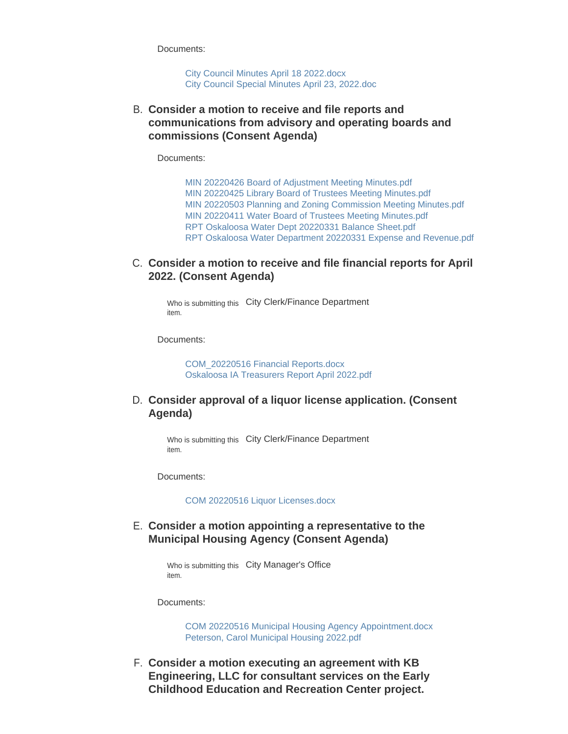Documents:

[City Council Minutes April 18 2022.docx](https://www.oskaloosaiowa.org/AgendaCenter/ViewFile/Item/10176?fileID=26665) [City Council Special Minutes April 23, 2022.doc](https://www.oskaloosaiowa.org/AgendaCenter/ViewFile/Item/10176?fileID=26666)

**Consider a motion to receive and file reports and**  B. **communications from advisory and operating boards and commissions (Consent Agenda)**

Documents:

[MIN 20220426 Board of Adjustment Meeting Minutes.pdf](https://www.oskaloosaiowa.org/AgendaCenter/ViewFile/Item/10177?fileID=26667) [MIN 20220425 Library Board of Trustees Meeting Minutes.pdf](https://www.oskaloosaiowa.org/AgendaCenter/ViewFile/Item/10177?fileID=26668) [MIN 20220503 Planning and Zoning Commission Meeting Minutes.pdf](https://www.oskaloosaiowa.org/AgendaCenter/ViewFile/Item/10177?fileID=26669) [MIN 20220411 Water Board of Trustees Meeting Minutes.pdf](https://www.oskaloosaiowa.org/AgendaCenter/ViewFile/Item/10177?fileID=26670) [RPT Oskaloosa Water Dept 20220331 Balance Sheet.pdf](https://www.oskaloosaiowa.org/AgendaCenter/ViewFile/Item/10177?fileID=26671) [RPT Oskaloosa Water Department 20220331 Expense and Revenue.pdf](https://www.oskaloosaiowa.org/AgendaCenter/ViewFile/Item/10177?fileID=26672)

### C. Consider a motion to receive and file financial reports for April **2022. (Consent Agenda)**

Who is submitting this City Clerk/Finance Department item.

Documents:

[COM\\_20220516 Financial Reports.docx](https://www.oskaloosaiowa.org/AgendaCenter/ViewFile/Item/10156?fileID=26674) [Oskaloosa IA Treasurers Report April 2022.pdf](https://www.oskaloosaiowa.org/AgendaCenter/ViewFile/Item/10156?fileID=26675)

### **Consider approval of a liquor license application. (Consent**  D. **Agenda)**

Who is submitting this City Clerk/Finance Department item.

Documents:

[COM 20220516 Liquor Licenses.docx](https://www.oskaloosaiowa.org/AgendaCenter/ViewFile/Item/10158?fileID=26673)

### **Consider a motion appointing a representative to the**  E. **Municipal Housing Agency (Consent Agenda)**

Who is submitting this City Manager's Office item.

Documents:

[COM 20220516 Municipal Housing Agency Appointment.docx](https://www.oskaloosaiowa.org/AgendaCenter/ViewFile/Item/10165?fileID=26635) [Peterson, Carol Municipal Housing 2022.pdf](https://www.oskaloosaiowa.org/AgendaCenter/ViewFile/Item/10165?fileID=26617)

**Consider a motion executing an agreement with KB**  F. **Engineering, LLC for consultant services on the Early Childhood Education and Recreation Center project.**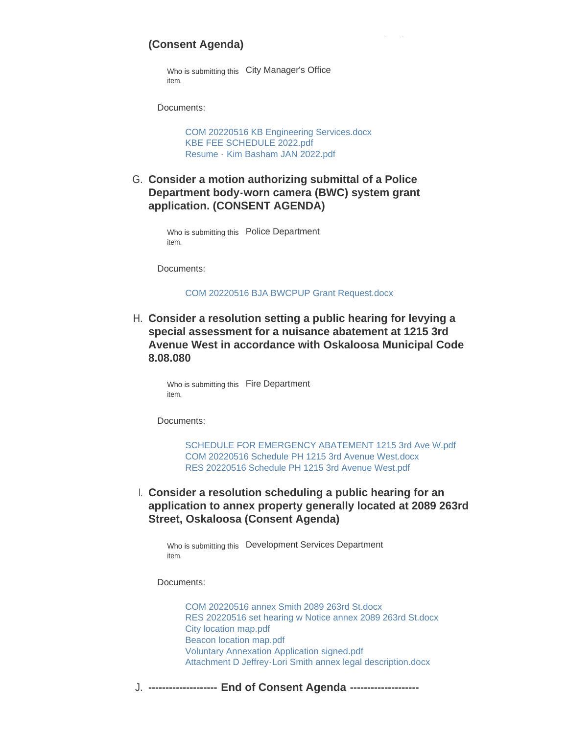### **(Consent Agenda)**

Who is submitting this City Manager's Office item.

Documents:

[COM 20220516 KB Engineering Services.docx](https://www.oskaloosaiowa.org/AgendaCenter/ViewFile/Item/10184?fileID=26676) [KBE FEE SCHEDULE 2022.pdf](https://www.oskaloosaiowa.org/AgendaCenter/ViewFile/Item/10184?fileID=26677) [Resume - Kim Basham JAN 2022.pdf](https://www.oskaloosaiowa.org/AgendaCenter/ViewFile/Item/10184?fileID=26678)

**Childhood Education and Recreation Center project.** 

**Consider a motion authorizing submittal of a Police**  G. **Department body-worn camera (BWC) system grant application. (CONSENT AGENDA)**

> Who is submitting this Police Department item.

Documents:

[COM 20220516 BJA BWCPUP Grant Request.docx](https://www.oskaloosaiowa.org/AgendaCenter/ViewFile/Item/10166?fileID=26648)

**Consider a resolution setting a public hearing for levying a**  H. **special assessment for a nuisance abatement at 1215 3rd Avenue West in accordance with Oskaloosa Municipal Code 8.08.080**

> Who is submitting this Fire Department item.

Documents:

[SCHEDULE FOR EMERGENCY ABATEMENT 1215 3rd Ave W.pdf](https://www.oskaloosaiowa.org/AgendaCenter/ViewFile/Item/10160?fileID=26636) [COM 20220516 Schedule PH 1215 3rd Avenue West.docx](https://www.oskaloosaiowa.org/AgendaCenter/ViewFile/Item/10160?fileID=26664) [RES 20220516 Schedule PH 1215 3rd Avenue West.pdf](https://www.oskaloosaiowa.org/AgendaCenter/ViewFile/Item/10160?fileID=26650)

**Consider a resolution scheduling a public hearing for an**  I. **application to annex property generally located at 2089 263rd Street, Oskaloosa (Consent Agenda)**

Who is submitting this Development Services Department item.

Documents:

[COM 20220516 annex Smith 2089 263rd St.docx](https://www.oskaloosaiowa.org/AgendaCenter/ViewFile/Item/10120?fileID=26643) [RES 20220516 set hearing w Notice annex 2089 263rd St.docx](https://www.oskaloosaiowa.org/AgendaCenter/ViewFile/Item/10120?fileID=26644) [City location map.pdf](https://www.oskaloosaiowa.org/AgendaCenter/ViewFile/Item/10120?fileID=26642) [Beacon location map.pdf](https://www.oskaloosaiowa.org/AgendaCenter/ViewFile/Item/10120?fileID=26641) [Voluntary Annexation Application signed.pdf](https://www.oskaloosaiowa.org/AgendaCenter/ViewFile/Item/10120?fileID=26645) [Attachment D Jeffrey-Lori Smith annex legal description.docx](https://www.oskaloosaiowa.org/AgendaCenter/ViewFile/Item/10120?fileID=26646)

**-------------------- End of Consent Agenda --------------------** J.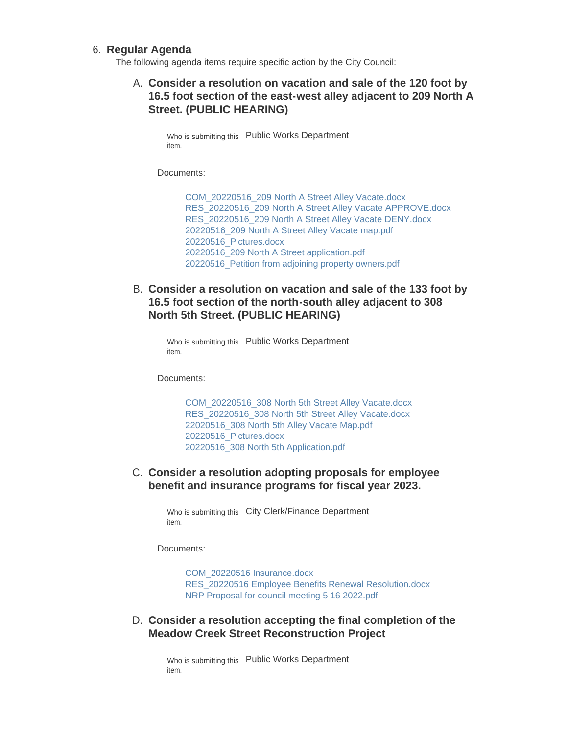#### **Regular Agenda** 6.

The following agenda items require specific action by the City Council:

### **Consider a resolution on vacation and sale of the 120 foot by**  A. **16.5 foot section of the east-west alley adjacent to 209 North A Street. (PUBLIC HEARING)**

Who is submitting this Public Works Department item.

Documents:

[COM\\_20220516\\_209 North A Street Alley Vacate.docx](https://www.oskaloosaiowa.org/AgendaCenter/ViewFile/Item/10162?fileID=26623) [RES\\_20220516\\_209 North A Street Alley Vacate APPROVE.docx](https://www.oskaloosaiowa.org/AgendaCenter/ViewFile/Item/10162?fileID=26624) [RES\\_20220516\\_209 North A Street Alley Vacate DENY.docx](https://www.oskaloosaiowa.org/AgendaCenter/ViewFile/Item/10162?fileID=26625) [20220516\\_209 North A Street Alley Vacate map.pdf](https://www.oskaloosaiowa.org/AgendaCenter/ViewFile/Item/10162?fileID=26626) [20220516\\_Pictures.docx](https://www.oskaloosaiowa.org/AgendaCenter/ViewFile/Item/10162?fileID=26627) [20220516\\_209 North A Street application.pdf](https://www.oskaloosaiowa.org/AgendaCenter/ViewFile/Item/10162?fileID=26628) [20220516\\_Petition from adjoining property owners.pdf](https://www.oskaloosaiowa.org/AgendaCenter/ViewFile/Item/10162?fileID=26629)

**Consider a resolution on vacation and sale of the 133 foot by**  B. **16.5 foot section of the north-south alley adjacent to 308 North 5th Street. (PUBLIC HEARING)**

Who is submitting this Public Works Department item.

Documents:

[COM\\_20220516\\_308 North 5th Street Alley Vacate.docx](https://www.oskaloosaiowa.org/AgendaCenter/ViewFile/Item/10161?fileID=26618) [RES\\_20220516\\_308 North 5th Street Alley Vacate.docx](https://www.oskaloosaiowa.org/AgendaCenter/ViewFile/Item/10161?fileID=26619) [22020516\\_308 North 5th Alley Vacate Map.pdf](https://www.oskaloosaiowa.org/AgendaCenter/ViewFile/Item/10161?fileID=26620) [20220516\\_Pictures.docx](https://www.oskaloosaiowa.org/AgendaCenter/ViewFile/Item/10161?fileID=26621) [20220516\\_308 North 5th Application.pdf](https://www.oskaloosaiowa.org/AgendaCenter/ViewFile/Item/10161?fileID=26622)

### C. Consider a resolution adopting proposals for employee **benefit and insurance programs for fiscal year 2023.**

Who is submitting this City Clerk/Finance Department item.

Documents:

[COM\\_20220516 Insurance.docx](https://www.oskaloosaiowa.org/AgendaCenter/ViewFile/Item/10157?fileID=26679) [RES\\_20220516 Employee Benefits Renewal Resolution.docx](https://www.oskaloosaiowa.org/AgendaCenter/ViewFile/Item/10157?fileID=26680) [NRP Proposal for council meeting 5 16 2022.pdf](https://www.oskaloosaiowa.org/AgendaCenter/ViewFile/Item/10157?fileID=26681)

### **Consider a resolution accepting the final completion of the**  D. **Meadow Creek Street Reconstruction Project**

Who is submitting this Public Works Department item.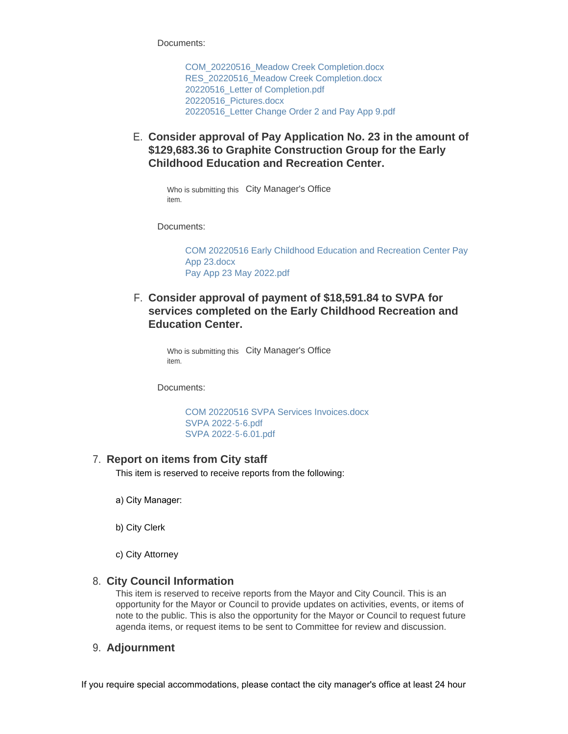Documents:

[COM\\_20220516\\_Meadow Creek Completion.docx](https://www.oskaloosaiowa.org/AgendaCenter/ViewFile/Item/10163?fileID=26630) [RES\\_20220516\\_Meadow Creek Completion.docx](https://www.oskaloosaiowa.org/AgendaCenter/ViewFile/Item/10163?fileID=26631) [20220516\\_Letter of Completion.pdf](https://www.oskaloosaiowa.org/AgendaCenter/ViewFile/Item/10163?fileID=26632) [20220516\\_Pictures.docx](https://www.oskaloosaiowa.org/AgendaCenter/ViewFile/Item/10163?fileID=26634) [20220516\\_Letter Change Order 2 and Pay App 9.pdf](https://www.oskaloosaiowa.org/AgendaCenter/ViewFile/Item/10163?fileID=26633)

**Consider approval of Pay Application No. 23 in the amount of**  E. **\$129,683.36 to Graphite Construction Group for the Early Childhood Education and Recreation Center.** 

Who is submitting this City Manager's Office item.

Documents:

[COM 20220516 Early Childhood Education and Recreation Center Pay](https://www.oskaloosaiowa.org/AgendaCenter/ViewFile/Item/10185?fileID=26682)  App 23.docx [Pay App 23 May 2022.pdf](https://www.oskaloosaiowa.org/AgendaCenter/ViewFile/Item/10185?fileID=26683)

**Consider approval of payment of \$18,591.84 to SVPA for**  F. **services completed on the Early Childhood Recreation and Education Center.** 

> Who is submitting this City Manager's Office item.

Documents:

[COM 20220516 SVPA Services Invoices.docx](https://www.oskaloosaiowa.org/AgendaCenter/ViewFile/Item/10168?fileID=26651) [SVPA 2022-5-6.pdf](https://www.oskaloosaiowa.org/AgendaCenter/ViewFile/Item/10168?fileID=26638) [SVPA 2022-5-6.01.pdf](https://www.oskaloosaiowa.org/AgendaCenter/ViewFile/Item/10168?fileID=26639)

# **Report on items from City staff** 7.

This item is reserved to receive reports from the following:

- a) City Manager:
- b) City Clerk
- c) City Attorney

#### **City Council Information** 8.

This item is reserved to receive reports from the Mayor and City Council. This is an opportunity for the Mayor or Council to provide updates on activities, events, or items of note to the public. This is also the opportunity for the Mayor or Council to request future agenda items, or request items to be sent to Committee for review and discussion.

#### **Adjournment** 9.

If you require special accommodations, please contact the city manager's office at least 24 hour